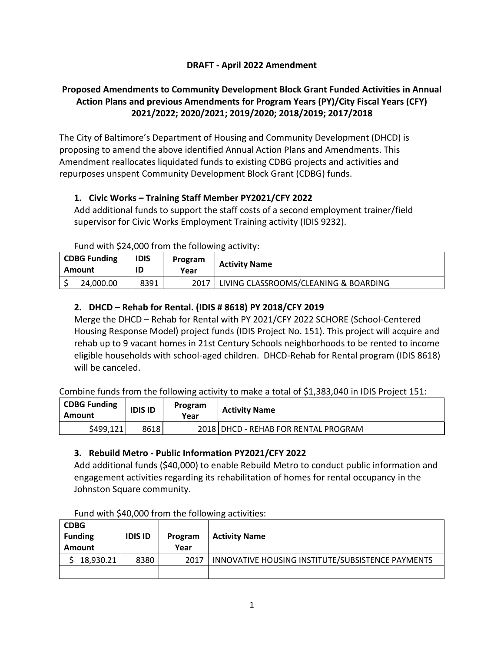# **DRAFT - April 2022 Amendment**

# **Proposed Amendments to Community Development Block Grant Funded Activities in Annual Action Plans and previous Amendments for Program Years (PY)/City Fiscal Years (CFY) 2021/2022; 2020/2021; 2019/2020; 2018/2019; 2017/2018**

The City of Baltimore's Department of Housing and Community Development (DHCD) is proposing to amend the above identified Annual Action Plans and Amendments. This Amendment reallocates liquidated funds to existing CDBG projects and activities and repurposes unspent Community Development Block Grant (CDBG) funds.

# **1. Civic Works – Training Staff Member PY2021/CFY 2022**

Add additional funds to support the staff costs of a second employment trainer/field supervisor for Civic Works Employment Training activity (IDIS 9232).

Fund with \$24,000 from the following activity:

| <b>CDBG Funding</b><br>Amount |           | <b>IDIS</b><br>Program<br>ID<br>Year |  | <b>Activity Name</b>                  |
|-------------------------------|-----------|--------------------------------------|--|---------------------------------------|
|                               | 24.000.00 | 8391                                 |  | LIVING CLASSROOMS/CLEANING & BOARDING |

# **2. DHCD – Rehab for Rental. (IDIS # 8618) PY 2018/CFY 2019**

Merge the DHCD – Rehab for Rental with PY 2021/CFY 2022 SCHORE (School-Centered Housing Response Model) project funds (IDIS Project No. 151). This project will acquire and rehab up to 9 vacant homes in 21st Century Schools neighborhoods to be rented to income eligible households with school-aged children. DHCD-Rehab for Rental program (IDIS 8618) will be canceled.

Combine funds from the following activity to make a total of \$1,383,040 in IDIS Project 151:

| <b>CDBG Funding</b><br>Amount | Program<br><b>IDIS ID</b><br>Year |  | <b>Activity Name</b>                 |
|-------------------------------|-----------------------------------|--|--------------------------------------|
| \$499,121                     | 86181                             |  | 2018 DHCD - REHAB FOR RENTAL PROGRAM |

### **3. Rebuild Metro - Public Information PY2021/CFY 2022**

Add additional funds (\$40,000) to enable Rebuild Metro to conduct public information and engagement activities regarding its rehabilitation of homes for rental occupancy in the Johnston Square community.

| <b>CDBG</b><br><b>Funding</b><br><b>Amount</b> | <b>IDIS ID</b> | Program<br>Year | <b>Activity Name</b>                              |
|------------------------------------------------|----------------|-----------------|---------------------------------------------------|
| 18,930.21                                      | 8380           | 2017            | INNOVATIVE HOUSING INSTITUTE/SUBSISTENCE PAYMENTS |
|                                                |                |                 |                                                   |

Fund with \$40,000 from the following activities: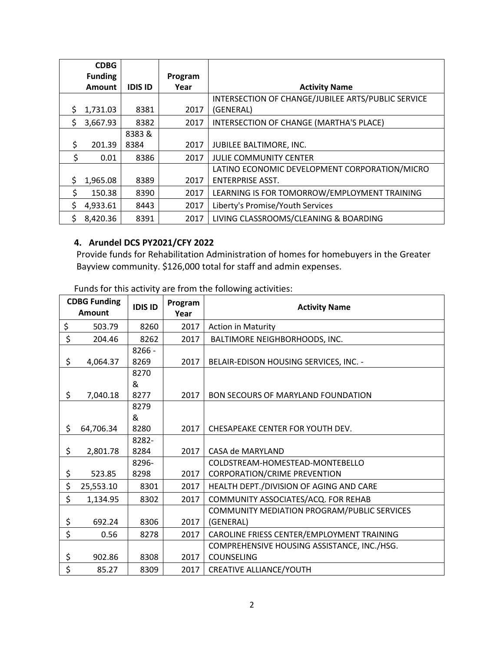|    | <b>CDBG</b>    |                |         |                                                    |
|----|----------------|----------------|---------|----------------------------------------------------|
|    | <b>Funding</b> |                | Program |                                                    |
|    | <b>Amount</b>  | <b>IDIS ID</b> | Year    | <b>Activity Name</b>                               |
|    |                |                |         | INTERSECTION OF CHANGE/JUBILEE ARTS/PUBLIC SERVICE |
| S. | 1,731.03       | 8381           | 2017    | (GENERAL)                                          |
| Ŝ. | 3,667.93       | 8382           | 2017    | INTERSECTION OF CHANGE (MARTHA'S PLACE)            |
|    |                | 8383&          |         |                                                    |
| Ś. | 201.39         | 8384           | 2017    | JUBILEE BALTIMORE, INC.                            |
| \$ | 0.01           | 8386           | 2017    | <b>JULIE COMMUNITY CENTER</b>                      |
|    |                |                |         | LATINO ECONOMIC DEVELOPMENT CORPORATION/MICRO      |
| S. | 1,965.08       | 8389           | 2017    | <b>ENTERPRISE ASST.</b>                            |
| \$ | 150.38         | 8390           | 2017    | LEARNING IS FOR TOMORROW/EMPLOYMENT TRAINING       |
| Ś. | 4,933.61       | 8443           | 2017    | Liberty's Promise/Youth Services                   |
| S. | 8,420.36       | 8391           | 2017    | LIVING CLASSROOMS/CLEANING & BOARDING              |

# **4. Arundel DCS PY2021/CFY 2022**

Provide funds for Rehabilitation Administration of homes for homebuyers in the Greater Bayview community. \$126,000 total for staff and admin expenses.

| <b>CDBG Funding</b><br><b>Amount</b> | <b>IDIS ID</b> | Program<br>Year | <b>Activity Name</b>                        |
|--------------------------------------|----------------|-----------------|---------------------------------------------|
| \$<br>503.79                         | 8260           | 2017            | <b>Action in Maturity</b>                   |
| \$<br>204.46                         | 8262           | 2017            | BALTIMORE NEIGHBORHOODS, INC.               |
|                                      | 8266 -         |                 |                                             |
| \$<br>4,064.37                       | 8269           | 2017            | BELAIR-EDISON HOUSING SERVICES, INC. -      |
|                                      | 8270           |                 |                                             |
|                                      | &              |                 |                                             |
| \$<br>7,040.18                       | 8277           | 2017            | <b>BON SECOURS OF MARYLAND FOUNDATION</b>   |
|                                      | 8279           |                 |                                             |
|                                      | &              |                 |                                             |
| \$<br>64,706.34                      | 8280           | 2017            | CHESAPEAKE CENTER FOR YOUTH DEV.            |
|                                      | 8282-          |                 |                                             |
| \$<br>2,801.78                       | 8284           | 2017            | CASA de MARYLAND                            |
|                                      | 8296-          |                 | COLDSTREAM-HOMESTEAD-MONTEBELLO             |
| \$<br>523.85                         | 8298           | 2017            | CORPORATION/CRIME PREVENTION                |
| \$<br>25,553.10                      | 8301           | 2017            | HEALTH DEPT./DIVISION OF AGING AND CARE     |
| \$<br>1,134.95                       | 8302           | 2017            | COMMUNITY ASSOCIATES/ACQ. FOR REHAB         |
|                                      |                |                 | COMMUNITY MEDIATION PROGRAM/PUBLIC SERVICES |
| \$<br>692.24                         | 8306           | 2017            | (GENERAL)                                   |
| \$<br>0.56                           | 8278           | 2017            | CAROLINE FRIESS CENTER/EMPLOYMENT TRAINING  |
|                                      |                |                 | COMPREHENSIVE HOUSING ASSISTANCE, INC./HSG. |
| \$<br>902.86                         | 8308           | 2017            | COUNSELING                                  |
| \$<br>85.27                          | 8309           | 2017            | CREATIVE ALLIANCE/YOUTH                     |

Funds for this activity are from the following activities: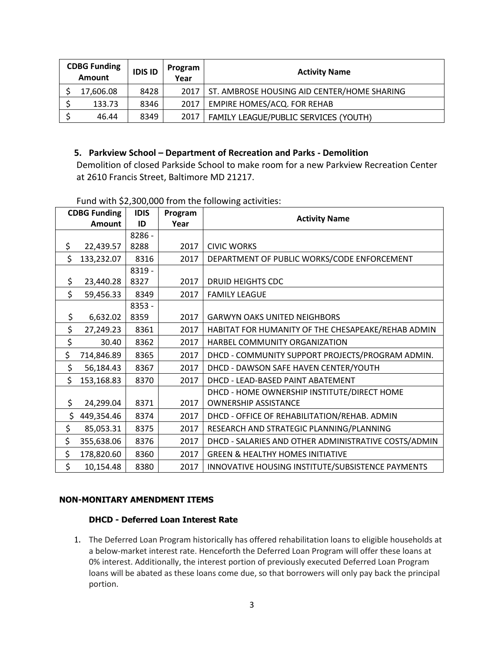| <b>CDBG Funding</b><br><b>Amount</b> |           | <b>IDIS ID</b> | Program<br>Year | <b>Activity Name</b>                               |
|--------------------------------------|-----------|----------------|-----------------|----------------------------------------------------|
|                                      | 17,606.08 | 8428           |                 | 2017   ST. AMBROSE HOUSING AID CENTER/HOME SHARING |
|                                      | 133.73    | 8346           | 2017            | EMPIRE HOMES/ACQ. FOR REHAB                        |
|                                      | 46.44     | 8349           | 2017            | FAMILY LEAGUE/PUBLIC SERVICES (YOUTH)              |

### **5. Parkview School – Department of Recreation and Parks - Demolition**

Demolition of closed Parkside School to make room for a new Parkview Recreation Center at 2610 Francis Street, Baltimore MD 21217.

| <b>CDBG Funding</b> |               | <b>IDIS</b> | Program |                                                      |
|---------------------|---------------|-------------|---------|------------------------------------------------------|
|                     | <b>Amount</b> | ID          | Year    | <b>Activity Name</b>                                 |
|                     |               | 8286 -      |         |                                                      |
| \$                  | 22,439.57     | 8288        | 2017    | <b>CIVIC WORKS</b>                                   |
| \$                  | 133,232.07    | 8316        | 2017    | DEPARTMENT OF PUBLIC WORKS/CODE ENFORCEMENT          |
|                     |               | 8319 -      |         |                                                      |
| \$                  | 23,440.28     | 8327        | 2017    | <b>DRUID HEIGHTS CDC</b>                             |
| \$                  | 59,456.33     | 8349        | 2017    | <b>FAMILY LEAGUE</b>                                 |
|                     |               | 8353 -      |         |                                                      |
| \$                  | 6,632.02      | 8359        | 2017    | <b>GARWYN OAKS UNITED NEIGHBORS</b>                  |
| \$                  | 27,249.23     | 8361        | 2017    | HABITAT FOR HUMANITY OF THE CHESAPEAKE/REHAB ADMIN   |
| \$                  | 30.40         | 8362        | 2017    | HARBEL COMMUNITY ORGANIZATION                        |
| \$                  | 714,846.89    | 8365        | 2017    | DHCD - COMMUNITY SUPPORT PROJECTS/PROGRAM ADMIN.     |
| \$                  | 56,184.43     | 8367        | 2017    | DHCD - DAWSON SAFE HAVEN CENTER/YOUTH                |
| \$                  | 153,168.83    | 8370        | 2017    | DHCD - LEAD-BASED PAINT ABATEMENT                    |
|                     |               |             |         | DHCD - HOME OWNERSHIP INSTITUTE/DIRECT HOME          |
| \$                  | 24,299.04     | 8371        | 2017    | <b>OWNERSHIP ASSISTANCE</b>                          |
| \$                  | 449,354.46    | 8374        | 2017    | DHCD - OFFICE OF REHABILITATION/REHAB. ADMIN         |
| \$                  | 85,053.31     | 8375        | 2017    | RESEARCH AND STRATEGIC PLANNING/PLANNING             |
| \$                  | 355,638.06    | 8376        | 2017    | DHCD - SALARIES AND OTHER ADMINISTRATIVE COSTS/ADMIN |
| \$                  | 178,820.60    | 8360        | 2017    | <b>GREEN &amp; HEALTHY HOMES INITIATIVE</b>          |
| \$                  | 10,154.48     | 8380        | 2017    | INNOVATIVE HOUSING INSTITUTE/SUBSISTENCE PAYMENTS    |

Fund with \$2,300,000 from the following activities:

### **NON-MONITARY AMENDMENT ITEMS**

### **DHCD - Deferred Loan Interest Rate**

1. The Deferred Loan Program historically has offered rehabilitation loans to eligible households at a below-market interest rate. Henceforth the Deferred Loan Program will offer these loans at 0% interest. Additionally, the interest portion of previously executed Deferred Loan Program loans will be abated as these loans come due, so that borrowers will only pay back the principal portion.